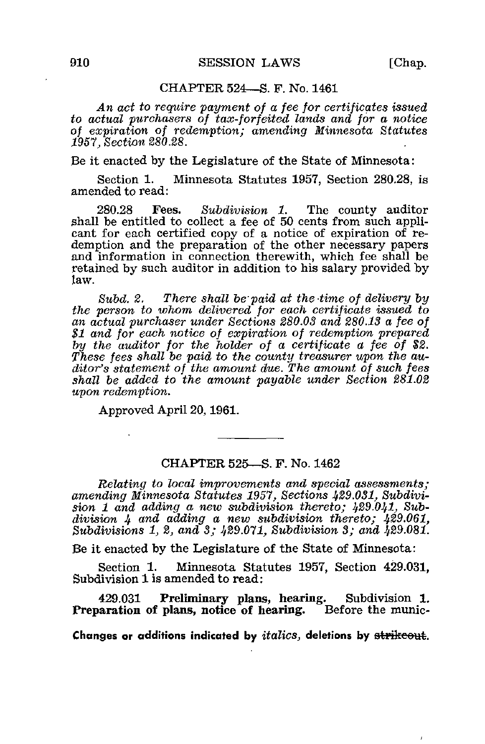ï

## CHAPTER 524—S. F. No. 1461

An act to require payment of a fee for certificates issued to actual purchasers of tax-forfeited lands and for a notice of expiration of redemption; amending Minnesota Statutes 1957, Section 280.28.

Be it enacted by the Legislature of the State of Minnesota:

Section 1. Minnesota Statutes 1957, Section 280.28, is amended to read:

280.28 Fees. Subdivision 1. The county auditor shall be entitled to collect a fee of 50 cents from such applicant for each certified copy of a notice of expiration of redemption and the preparation of the other necessary papers and information in connection therewith, which fee shall be retained by such auditor in addition to his salary provided by law.

Subd. 2. There shall be paid at the time of delivery by the person to whom delivered for each certificate issued to an actual purchaser under Sections 280.03 and 280.13 a fee of \$1 and for each notice of expiration of redemption prepared by the auditor for the holder of a certificate a fee of \$2. These fees shall be paid to the county treasurer upon the auditor's statement of the amount due. The amount of such fees shall be added to the amount payable under Section 281.02 upon redemption.

Approved April 20,1961.

## CHAPTER 525—S. F. No. 1462

Relating to local improvements and special assessments; amending Minnesota Statutes 1957, Sections 429.031, Subdivision  $1$  and adding a new subdivision thereto;  $429.041$ , Subdivision  $\mu$  and adding a new subdivision thereto;  $\mu$ 29.061, Subdivisions  $1, 2,$  and  $3, 429.071$ , Subdivision  $3,$  and  $429.081$ .

Be it enacted by the Legislature of the State of Minnesota:

Section 1. Minnesota Statutes 1957, Section 429.031, Subdivision 1 is amended to read:

429.031 Preliminary plans, hearing. Subdivision 1. Preparation of plans, notice of hearing. Before the munic-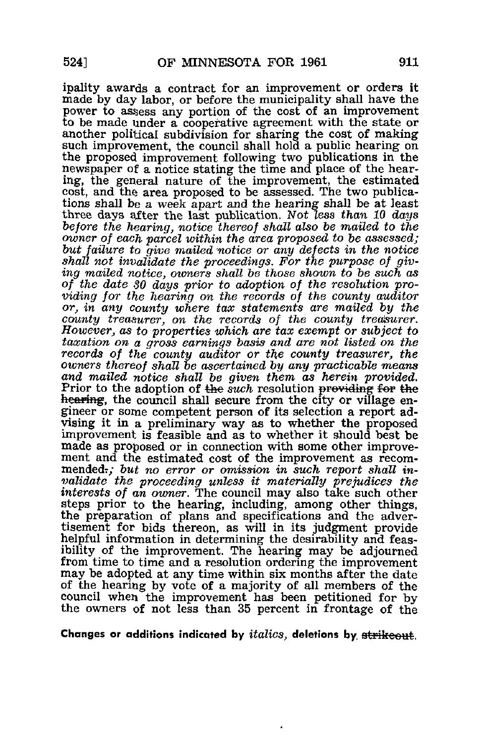ipality awards a contract for an improvement or orders it made by day labor, or before the municipality shall have the power to assess any portion of the cost of an improvement to be made under a cooperative agreement with the state or another political subdivision for sharing the cost of making such improvement, the council shall hold a public hearing on the proposed improvement following two publications in the newspaper of a notice stating the time and place of the hearing, the general nature of the improvement, the estimated cost, and the area proposed to be assessed. The two publications shall be a week apart and the hearing shall be at least three days after the last publication. Not less than 10 days before the hearing, notice thereof shall also be mailed to the owner of each parcel within the area proposed to be assessed; but failure to give mailed notice or any defects in the notice shall not invalidate the proceedings. For the purpose of giving mailed notice, owners shall be those shown to be such as of the date SO days prior to adoption of the resolution providing for the hearing on the records of the county auditor or, in any county where tax statements are mailed by the county treasurer, on the records of the county treasurer. However., as to properties which are tax exempt or subject to taxation on a gross earnings basis and are not listed on the records of the county auditor or the county treasurer, the owners thereof shall be ascertained by any practicable means and mailed notice shall be given them as herein provided. Prior to the adoption of the *such* resolution providing for the hearing, the council shall secure from the city or village engineer or some competent person of its selection a report advising it in a preliminary way as to whether the proposed improvement is feasible and as to whether it should best be made as proposed or in connection with some other improvement and the estimated cost of the improvement as recommended.; but no error or omission in such report shall invalidate the proceeding unless it materially prejudices the interests of an owner. The council may also take such other steps prior to the hearing, including, among other things, the preparation of plans and specifications and the advertisement for bids thereon, as will in its judgment provide helpful information in determining the desirability and feasibility of the improvement. The hearing may be adjourned from time to time and a resolution ordering the improvement may be adopted at any time within six months after the date of the hearing by vote of a majority of all members of the council when the improvement has been petitioned for by the owners of not less than 35 percent in frontage of the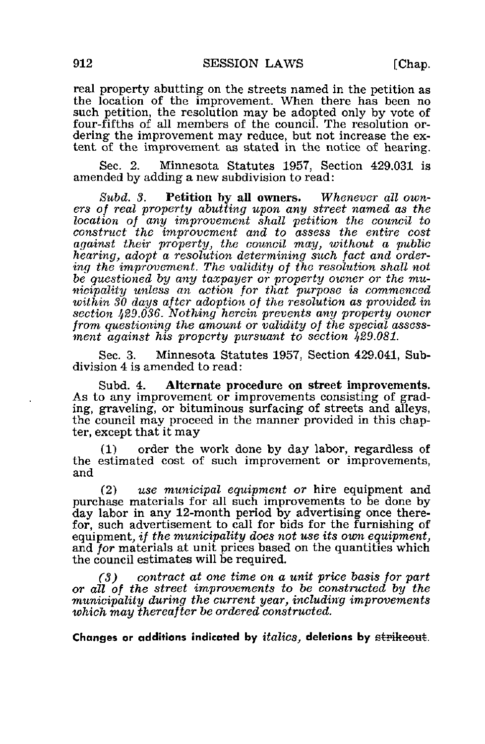real property abutting on the streets named in the petition as the location of the improvement. When there has been no such petition, the resolution may be adopted only by vote of four-fifths of all members of the council. The resolution ordering the improvement may reduce, but not increase the extent of the improvement as stated in the notice of hearing.

Sec. 2. Minnesota Statutes 1957, Section 429.031 is amended by adding a new subdivision to read:

Subd. 3. Petition by all owners. Whenever all owners of real property abutting upon any street named as the location of any improvement shall petition the council to construct the improvement and to assess the entire cost against their property, the council may, without a public hearing, adopt a resolution determining such fact and ordering the improvement. The validity of the resolution shall not be questioned by any taxpayer or property owner or the municipality unless an action for that purpose is commenced within 30 days after adoption of the resolution as provided in section 429.036. Nothing herein prevents any property owner from questioning the amount or validity of the special assessment against his property pursuant to section 429.081.

Sec. 3. Minnesota Statutes 1957, Section 429.041, Subdivision 4 is amended to read:

Subd. 4. Alternate procedure on street improvements. As to any improvement or improvements consisting of grading, graveling, or bituminous surfacing of streets and alleys, the council may proceed in the manner provided in this chapter, except that it may

(1) order the work done by day labor, regardless of the estimated cost of such improvement or improvements, and

(2) use municipal equipment or hire equipment and purchase materials for all such improvements to be done by day labor in any 12-month period by advertising once therefor, such advertisement to call for bids for the furnishing of equipment, if the municipality does not use its own equipment, and for materials at unit prices based on the quantities which the council estimates will be required.

(3) contract at one time on a unit price basis for part or all of the street improvements to be constructed by the municipality during the current year, including improvements which may thereafter be ordered constructed.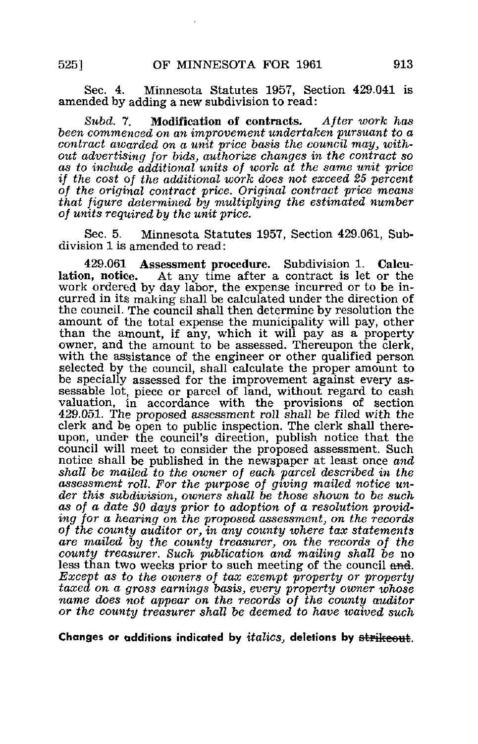Sec. 4. Minnesota Statutes 1957, Section 429.041 is amended by adding a new subdivision to read:

Subd. 7. Modification of contracts. After work has been commenced on an improvement undertaken pursuant to a contract awarded on a unit price basis the council may, without advertising for bids, authorize changes in the contract so as to include additional units of work at the same unit price if the cost of the additional work does not exceed 25 percent of the original contract price. Original contract price means that figure determined by multiplying the estimated number of units required by the unit price.

Sec. 5. Minnesota Statutes 1957, Section 429.061, Subdivision 1 is amended to read:

429.061 Assessment procedure. Subdivision 1. Calcu-At any time after a contract is let or the work ordered by day labor, the expense incurred or to be incurred in its making shall be calculated under the direction of the council. The council shall then determine by resolution the amount of the total expense the municipality will pay, other than the amount, if any, which it will pay as a property owner, and the amount to be assessed. Thereupon the clerk, with the assistance of the engineer or other qualified person selected by the council, shall calculate the proper amount to be specially assessed for the improvement against every assessable lot, piece or parcel of land, without regard to cash valuation, in accordance with the provisions of section 429.051. The proposed assessment roll shall be filed with the clerk and be open to public inspection. The clerk shall thereupon, under the council's direction, publish notice that the council will meet to consider the proposed assessment. Such notice shall be published in the newspaper at least once  $and$ shall be mailed to the owner of each parcel described in the assessment roll. For the purpose of giving mailed notice under this subdivision, owners shall be those shown to be such as of a date 30 days prior to adoption of a resolution providing for a hearing on the proposed assessment, on the records of the county auditor or, in any county where tax statements are mailed by the county treasurer, on the records of the county treasurer. Such publication and mailing shall be no less than two weeks prior to such meeting of the council and. Except as to the owners of tax exempt property or property taxed on a gross earnings basis, every property owner whose name does not appear on the records of the county auditor or the county treasurer shall be deemed to have waived such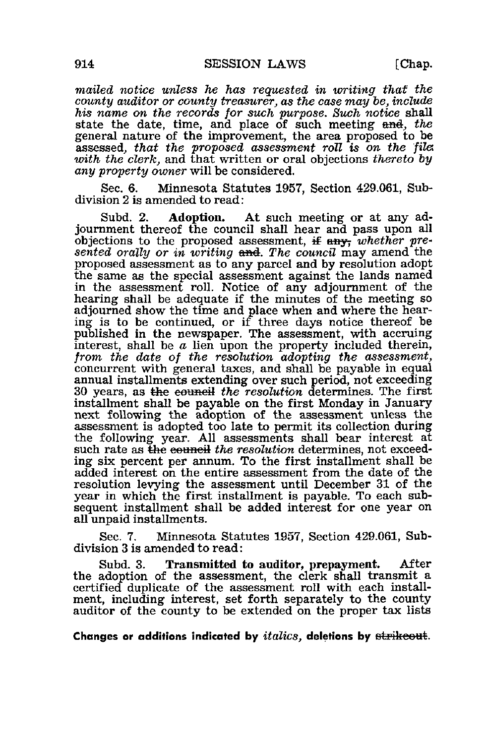mailed notice unless he has requested in writing that the county auditor or county treasurer, as the case may be, include his name on the records for such purpose. Such notice shall state the date, time, and place of such meeting and, the general nature of the improvement, the area proposed to be assessed, that the proposed assessment roll is on the file with the clerk, and that written or oral objections thereto by any property owner will be considered.

Sec. 6. Minnesota Statutes 1957, Section 429.061, Subdivision 2 is amended to read:

Subd. 2. Adoption. At such meeting or at any adjournment thereof the council shall hear and pass upon all objections to the proposed assessment, if any, whether presented orally or in writing  $\theta$  and. The council may amend the proposed assessment as to any parcel and by resolution adopt the same as the special assessment against the lands named in the assessment roll. Notice of any adjournment of the hearing shall be adequate if the minutes of the meeting so adjourned show the time and place when and where the hearing is to be continued, or if three days notice thereof be published in the newspaper. The assessment, with accruing interest, shall be  $\alpha$  lien upon the property included therein, from, the date of the resolution adopting the assessment, concurrent with general taxes, and shall be payable in equal annual installments extending over such period, not exceeding 30 years, as the council the resolution determines. The first installment shall be payable on the first Monday in January next following the adoption of the assessment unless the assessment is adopted too late to permit its collection during the following year. All assessments shall bear interest at such rate as the council the resolution determines, not exceeding six percent per annum. To the first installment shall be added interest on the entire assessment from the date of the resolution levying the assessment until December 31 of the year in which the first installment is payable. To each subsequent installment shall be added interest for one year on all unpaid installments.

Sec. 7. Minnesota Statutes 1957, Section 429.061, Subdivision 3 is amended to read:

Subd. 3. Transmitted to auditor, prepayment. After the adoption of the assessment, the clerk shall transmit a certified duplicate of the assessment roll with each installment, including interest, set forth separately to the county auditor of the county to be extended on the proper tax lists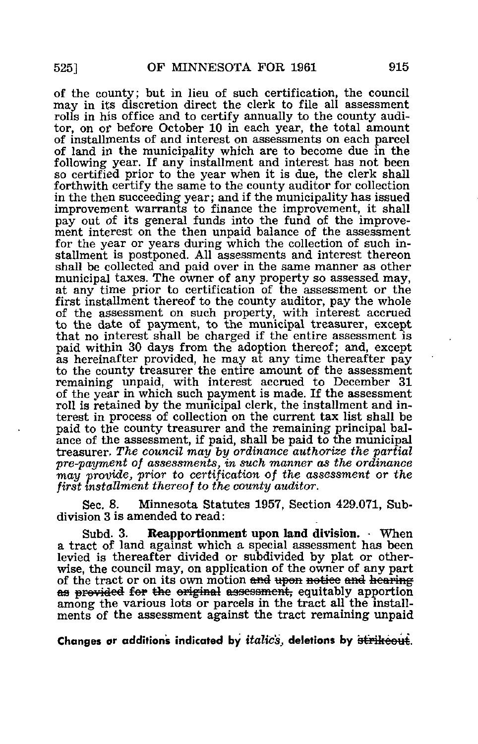of the county; but in lieu of such certification, the council may in its discretion direct the clerk to file all assessment rolls in his office and to certify annually to the county auditor, on or before October 10 in each year, the total amount of installments of and interest on assessments on each parcel of land in the municipality which are to become due in the following year. If any installment and interest has not been so certified prior to the year when it is due, the clerk shall forthwith certify the same to the county auditor for collection in the then succeeding year; and if the municipality has issued improvement warrants to finance the improvement, it shall pay out of its general funds into the fund of the improvement interest on the then unpaid balance of the assessment for the year or years during which the collection of such installment is postponed. All assessments and interest thereon shall be collected and paid over in the same manner as other municipal taxes. The owner of any property so assessed may, at any time prior to certification of the assessment or the first installment thereof to the county auditor, pay the whole of the assessment on such property, with interest accrued to the date of payment, to the municipal treasurer, except that no interest shall be charged if the entire assessment is paid within 30 days from the adoption thereof; and, except as hereinafter provided, he may at any time thereafter pay to the county treasurer the entire amount of the assessment remaining unpaid, with interest accrued to December 31 of the year in which such payment is made. If the assessment roll is retained by the municipal clerk, the installment and interest in process of collection on the current tax list shall be paid to the county treasurer and the remaining principal balance of the assessment, if paid, shall be paid to the municipal treasurer. The council may by ordinance authorize the partial pre-payment of assessments, in such manner as the ordinance may 'provide, prior to certification of the assessment or the first installment thereof to the county auditor.

Sec. 8. Minnesota Statutes 1957, Section 429.071, Subdivision 3 is amended to read:

Subd. 3. Reapportionment upon land division. - When a tract of land against which a special assessment has been levied is thereafter divided or subdivided by plat or otherwise, the council may, on application of the owner of any part of the tract or on its own motion and upon notice and hearing as provided for the original assessment, equitably apportion among the various lots or parcels in the tract all the installments of the assessment against the tract remaining unpaid